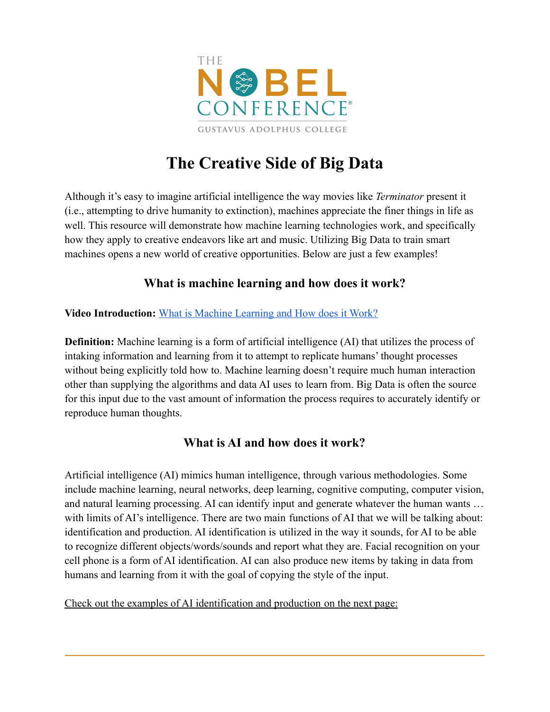

# **The Creative Side of Big Data**

Although it's easy to imagine artificial intelligence the way movies like *Terminator* present it (i.e., attempting to drive humanity to extinction), machines appreciate the finer things in life as well. This resource will demonstrate how machine learning technologies work, and specifically how they apply to creative endeavors like art and music. Utilizing Big Data to train smart machines opens a new world of creative opportunities. Below are just a few examples!

## **What is machine learning and how does it work?**

#### **Video Introduction:** [What is Machine Learning and How](https://youtu.be/QghjaS0WQQU) does it Work?

**Definition:** Machine learning is a form of artificial intelligence (AI) that utilizes the process of intaking information and learning from it to attempt to replicate humans' thought processes without being explicitly told how to. Machine learning doesn't require much human interaction other than supplying the algorithms and data AI uses to learn from. Big Data is often the source for this input due to the vast amount of information the process requires to accurately identify or reproduce human thoughts.

### **What is AI and how does it work?**

Artificial intelligence (AI) mimics human intelligence, through various methodologies. Some include machine learning, neural networks, deep learning, cognitive computing, computer vision, and natural learning processing. AI can identify input and generate whatever the human wants … with limits of AI's intelligence. There are two main functions of AI that we will be talking about: identification and production. AI identification is utilized in the way it sounds, for AI to be able to recognize different objects/words/sounds and report what they are. Facial recognition on your cell phone is a form of AI identification. AI can also produce new items by taking in data from humans and learning from it with the goal of copying the style of the input.

Check out the examples of AI identification and production on the next page: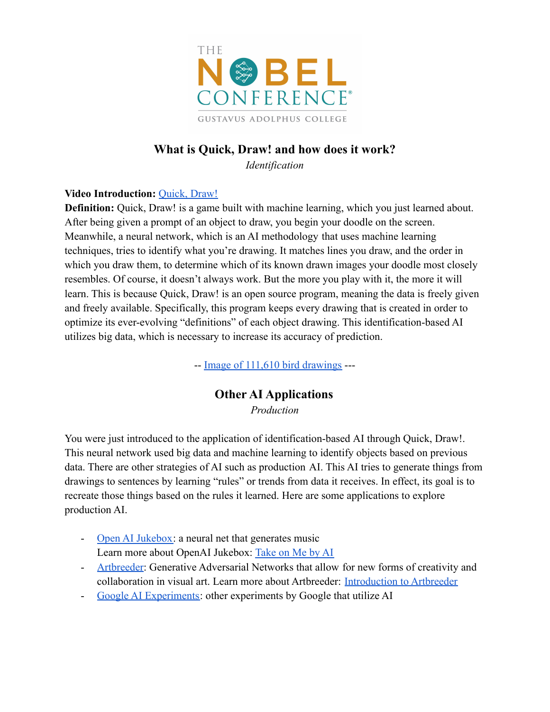

# **What is Quick, Draw! and how does it work?**

*Identification*

#### **Video Introduction:** [Quick, Draw!](https://youtu.be/X8v1GWzZYJ4)

**Definition:** Quick, Draw! is a game built with machine learning, which you just learned about. After being given a prompt of an object to draw, you begin your doodle on the screen. Meanwhile, a neural network, which is an AI methodology that uses machine learning techniques, tries to identify what you're drawing. It matches lines you draw, and the order in which you draw them, to determine which of its known drawn images your doodle most closely resembles. Of course, it doesn't always work. But the more you play with it, the more it will learn. This is because Quick, Draw! is an open source program, meaning the data is freely given and freely available. Specifically, this program keeps every drawing that is created in order to optimize its ever-evolving "definitions" of each object drawing. This identification-based AI utilizes big data, which is necessary to increase its accuracy of prediction.

-- [Image of 111,610 bird drawings](https://quickdraw.withgoogle.com/data/bird) ---

### **Other AI Applications**

*Production*

You were just introduced to the application of identification-based AI through Quick, Draw!. This neural network used big data and machine learning to identify objects based on previous data. There are other strategies of AI such as production AI. This AI tries to generate things from drawings to sentences by learning "rules" or trends from data it receives. In effect, its goal is to recreate those things based on the rules it learned. Here are some applications to explore production AI.

- [Open AI Jukebox:](https://openai.com/blog/jukebox/) a neural net that generates music Learn more about OpenAI Jukebox: [Take on Me by AI](https://youtu.be/uSWTSML9hwY)
- [Artbreeder:](https://www.artbreeder.com/) Generative Adversarial Networks that allow for new forms of creativity and collaboration in visual art. Learn more about Artbreeder: [Introduction to Artbreeder](https://youtu.be/IlrMkHaCosw)
- [Google AI Experiments:](https://experiments.withgoogle.com/collection/ai) other experiments by Google that utilize AI